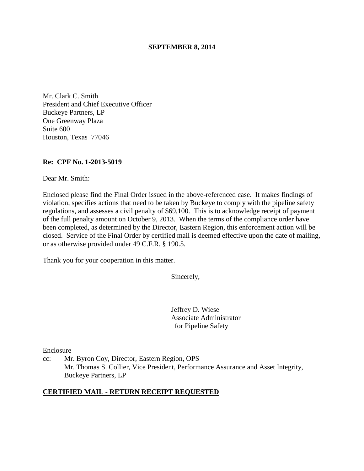#### **SEPTEMBER 8, 2014**

Mr. Clark C. Smith President and Chief Executive Officer Buckeye Partners, LP One Greenway Plaza Suite 600 Houston, Texas 77046

#### **Re: CPF No. 1-2013-5019**

Dear Mr. Smith:

Enclosed please find the Final Order issued in the above-referenced case. It makes findings of violation, specifies actions that need to be taken by Buckeye to comply with the pipeline safety regulations, and assesses a civil penalty of \$69,100. This is to acknowledge receipt of payment of the full penalty amount on October 9, 2013. When the terms of the compliance order have been completed, as determined by the Director, Eastern Region, this enforcement action will be closed. Service of the Final Order by certified mail is deemed effective upon the date of mailing, or as otherwise provided under 49 C.F.R. § 190.5.

Thank you for your cooperation in this matter.

Sincerely,

Jeffrey D. Wiese Associate Administrator for Pipeline Safety

Enclosure

cc: Mr. Byron Coy, Director, Eastern Region, OPS Mr. Thomas S. Collier, Vice President, Performance Assurance and Asset Integrity, Buckeye Partners, LP

#### **CERTIFIED MAIL - RETURN RECEIPT REQUESTED**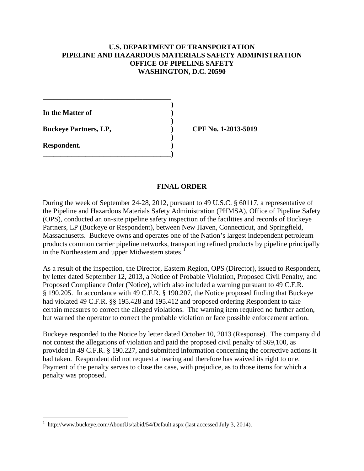### **U.S. DEPARTMENT OF TRANSPORTATION PIPELINE AND HAZARDOUS MATERIALS SAFETY ADMINISTRATION OFFICE OF PIPELINE SAFETY WASHINGTON, D.C. 20590**

**In the Matter of )** 

**Buckeye Partners, LP,**  (*CPF No.* 1-2013-5019

**\_\_\_\_\_\_\_\_\_\_\_\_\_\_\_\_\_\_\_\_\_\_\_\_\_\_\_\_\_\_\_\_\_\_\_\_ )** 

 **)** 

 **)** 

**\_\_\_\_\_\_\_\_\_\_\_\_\_\_\_\_\_\_\_\_\_\_\_\_\_\_\_\_\_\_\_\_\_\_\_\_)** 

**Respondent. )** 

 $\overline{a}$ 

## **FINAL ORDER**

During the week of September 24-28, 2012, pursuant to 49 U.S.C. § 60117, a representative of the Pipeline and Hazardous Materials Safety Administration (PHMSA), Office of Pipeline Safety (OPS), conducted an on-site pipeline safety inspection of the facilities and records of Buckeye Partners, LP (Buckeye or Respondent), between New Haven, Connecticut, and Springfield, Massachusetts. Buckeye owns and operates one of the Nation's largest independent petroleum products common carrier pipeline networks, transporting refined products by pipeline principally in the Northeastern and upper Midwestern states.<sup>1</sup>

As a result of the inspection, the Director, Eastern Region, OPS (Director), issued to Respondent, by letter dated September 12, 2013, a Notice of Probable Violation, Proposed Civil Penalty, and Proposed Compliance Order (Notice), which also included a warning pursuant to 49 C.F.R. § 190.205. In accordance with 49 C.F.R. § 190.207, the Notice proposed finding that Buckeye had violated 49 C.F.R. §§ 195.428 and 195.412 and proposed ordering Respondent to take certain measures to correct the alleged violations. The warning item required no further action, but warned the operator to correct the probable violation or face possible enforcement action.

Buckeye responded to the Notice by letter dated October 10, 2013 (Response). The company did not contest the allegations of violation and paid the proposed civil penalty of \$69,100, as provided in 49 C.F.R. § 190.227, and submitted information concerning the corrective actions it had taken. Respondent did not request a hearing and therefore has waived its right to one. Payment of the penalty serves to close the case, with prejudice, as to those items for which a penalty was proposed.

<sup>1</sup> http://www.buckeye.com/AboutUs/tabid/54/Default.aspx (last accessed July 3, 2014).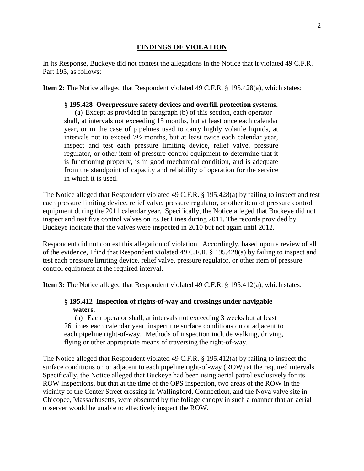#### **FINDINGS OF VIOLATION**

In its Response, Buckeye did not contest the allegations in the Notice that it violated 49 C.F.R. Part 195, as follows:

**Item 2:** The Notice alleged that Respondent violated 49 C.F.R. § 195.428(a), which states:

### **§ 195.428 Overpressure safety devices and overfill protection systems.**

(a) Except as provided in paragraph (b) of this section, each operator shall, at intervals not exceeding 15 months, but at least once each calendar year, or in the case of pipelines used to carry highly volatile liquids, at intervals not to exceed 7½ months, but at least twice each calendar year, inspect and test each pressure limiting device, relief valve, pressure regulator, or other item of pressure control equipment to determine that it is functioning properly, is in good mechanical condition, and is adequate from the standpoint of capacity and reliability of operation for the service in which it is used.

The Notice alleged that Respondent violated 49 C.F.R. § 195.428(a) by failing to inspect and test each pressure limiting device, relief valve, pressure regulator, or other item of pressure control equipment during the 2011 calendar year. Specifically, the Notice alleged that Buckeye did not inspect and test five control valves on its Jet Lines during 2011. The records provided by Buckeye indicate that the valves were inspected in 2010 but not again until 2012.

Respondent did not contest this allegation of violation. Accordingly, based upon a review of all of the evidence, I find that Respondent violated 49 C.F.R. § 195.428(a) by failing to inspect and test each pressure limiting device, relief valve, pressure regulator, or other item of pressure control equipment at the required interval.

**Item 3:** The Notice alleged that Respondent violated 49 C.F.R. § 195.412(a), which states:

### **§ 195.412 Inspection of rights-of-way and crossings under navigable waters.**

(a) Each operator shall, at intervals not exceeding 3 weeks but at least 26 times each calendar year, inspect the surface conditions on or adjacent to each pipeline right-of-way. Methods of inspection include walking, driving, flying or other appropriate means of traversing the right-of-way.

The Notice alleged that Respondent violated 49 C.F.R. § 195.412(a) by failing to inspect the surface conditions on or adjacent to each pipeline right-of-way (ROW) at the required intervals. Specifically, the Notice alleged that Buckeye had been using aerial patrol exclusively for its ROW inspections, but that at the time of the OPS inspection, two areas of the ROW in the vicinity of the Center Street crossing in Wallingford, Connecticut, and the Nova valve site in Chicopee, Massachusetts, were obscured by the foliage canopy in such a manner that an aerial observer would be unable to effectively inspect the ROW.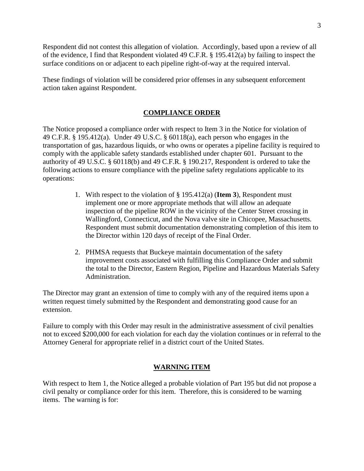Respondent did not contest this allegation of violation. Accordingly, based upon a review of all of the evidence, I find that Respondent violated 49 C.F.R. § 195.412(a) by failing to inspect the surface conditions on or adjacent to each pipeline right-of-way at the required interval.

These findings of violation will be considered prior offenses in any subsequent enforcement action taken against Respondent.

## **COMPLIANCE ORDER**

The Notice proposed a compliance order with respect to Item 3 in the Notice for violation of 49 C.F.R. § 195.412(a). Under 49 U.S.C. § 60118(a), each person who engages in the transportation of gas, hazardous liquids, or who owns or operates a pipeline facility is required to comply with the applicable safety standards established under chapter 601. Pursuant to the authority of 49 U.S.C. § 60118(b) and 49 C.F.R. § 190.217, Respondent is ordered to take the following actions to ensure compliance with the pipeline safety regulations applicable to its operations:

- 1. With respect to the violation of § 195.412(a) (**Item 3**), Respondent must implement one or more appropriate methods that will allow an adequate inspection of the pipeline ROW in the vicinity of the Center Street crossing in Wallingford, Connecticut, and the Nova valve site in Chicopee, Massachusetts. Respondent must submit documentation demonstrating completion of this item to the Director within 120 days of receipt of the Final Order.
- 2. PHMSA requests that Buckeye maintain documentation of the safety improvement costs associated with fulfilling this Compliance Order and submit the total to the Director, Eastern Region, Pipeline and Hazardous Materials Safety Administration.

The Director may grant an extension of time to comply with any of the required items upon a written request timely submitted by the Respondent and demonstrating good cause for an extension.

Failure to comply with this Order may result in the administrative assessment of civil penalties not to exceed \$200,000 for each violation for each day the violation continues or in referral to the Attorney General for appropriate relief in a district court of the United States.

# **WARNING ITEM**

With respect to Item 1, the Notice alleged a probable violation of Part 195 but did not propose a civil penalty or compliance order for this item. Therefore, this is considered to be warning items. The warning is for: